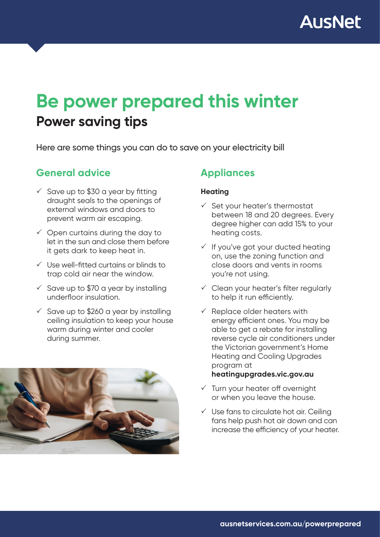

# **Power saving tips Be power prepared this winter**

Here are some things you can do to save on your electricity bill

### **General advice**

- $\checkmark$  Save up to \$30 a year by fitting draught seals to the openings of external windows and doors to prevent warm air escaping.
- $\checkmark$  Open curtains during the day to let in the sun and close them before it gets dark to keep heat in.
- $\checkmark$  Use well-fitted curtains or blinds to trap cold air near the window.
- $\checkmark$  Save up to \$70 a year by installing underfloor insulation.
- $\checkmark$  Save up to \$260 a year by installing ceiling insulation to keep your house warm during winter and cooler during summer.



### **Appliances**

#### **Heating**

- $\checkmark$  Set your heater's thermostat between 18 and 20 degrees. Every degree higher can add 15% to your heating costs.
- $\checkmark$  If you've got your ducted heating on, use the zoning function and close doors and vents in rooms you're not using.
- $\checkmark$  Clean your heater's filter regularly to help it run efficiently.
- $\checkmark$  Replace older heaters with energy efficient ones. You may be able to get a rebate for installing reverse cycle air conditioners under the Victorian government's Home Heating and Cooling Upgrades program at

#### **heatingupgrades.vic.gov.au**

- $\checkmark$  Turn your heater off overnight or when you leave the house.
- $\checkmark$  Use fans to circulate hot air. Ceiling fans help push hot air down and can increase the efficiency of your heater.